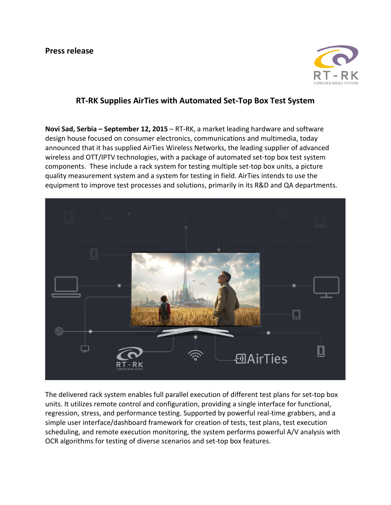

## **RT-RK Supplies AirTies with Automated Set-Top Box Test System**

**Novi Sad, Serbia – September 12, 2015** – RT-RK, a market leading hardware and software design house focused on consumer electronics, communications and multimedia, today announced that it has supplied AirTies Wireless Networks, the leading supplier of advanced wireless and OTT/IPTV technologies, with a package of automated set-top box test system components. These include a rack system for testing multiple set-top box units, a picture quality measurement system and a system for testing in field. AirTies intends to use the equipment to improve test processes and solutions, primarily in its R&D and QA departments.



The delivered rack system enables full parallel execution of different test plans for set-top box units. It utilizes remote control and configuration, providing a single interface for functional, regression, stress, and performance testing. Supported by powerful real-time grabbers, and a simple user interface/dashboard framework for creation of tests, test plans, test execution scheduling, and remote execution monitoring, the system performs powerful A/V analysis with OCR algorithms for testing of diverse scenarios and set-top box features.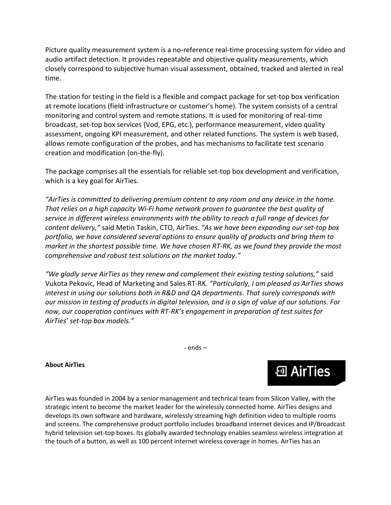Picture quality measurement system is a no-reference real-time processing system for video and audio artifact detection. It provides repeatable and objective quality measurements, which closely correspond to subjective human visual assessment, obtained, tracked and alerted in real time.

The station for testing in the field is a flexible and compact package for set-top box verification at remote locations (field infrastructure or customer's home). The system consists of a central monitoring and control system and remote stations. It is used for monitoring of real-time broadcast, set-top box services (Vod, EPG, etc.), performance measurement, video quality assessment, ongoing KPI measurement, and other related functions. The system is web based, allows remote configuration of the probes, and has mechanisms to facilitate test scenario creation and modification (on-the-fly).

The package comprises all the essentials for reliable set-top box development and verification, which is a key goal for AirTies.

"AirTies is committed to delivering premium content to any room and any device in the home. *That relies on a high capacity Wi-Fi home network proven to guarantee the best quality of service in different wireless environments with the ability to reach a full range of devices for content delivery,"* said Metin Taskin, CTO, AirTies. *"As we have been expanding our set-top box portfolio, we have considered several options to ensure quality of products and bring them to market in the shortest possible time. We have chosen RT-RK, as we found they provide the most comprehensive and robust test solutions on the market today."*

*"We gladly serve AirTies as they renew and complement their existing testing solutions,"* said Vukota Pekovic, Head of Marketing and Sales RT-RK. *"Particularly, I am pleased as AirTies shows interest in using our solutions both in R&D and QA departments. That surely corresponds with our mission in testing of products in digital television, and is a sign of value of our solutions. For now, our cooperation continues with RT-RK's engagement in preparation of test suites for AirTies' set-top box models."*

- ends –

## **About AirTies**

AirTies was founded in 2004 by a senior management and technical team from Silicon Valley, with the strategic intent to become the market leader for the wirelessly connected home. AirTies designs and develops its own software and hardware, wirelessly streaming high definition video to multiple rooms and screens. The comprehensive product portfolio includes broadband internet devices and IP/Broadcast hybrid television set-top boxes. Its globally awarded technology enables seamless wireless integration at the touch of a button, as well as 100 percent internet wireless coverage in homes. AirTies has an